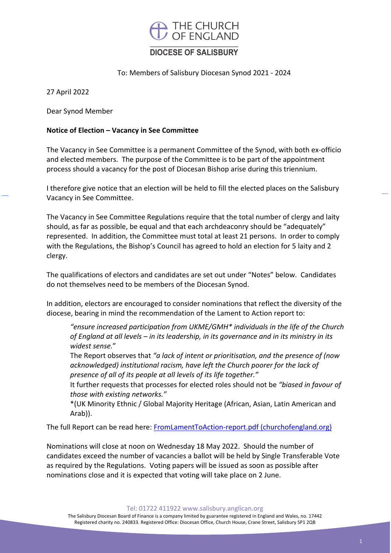

# **DIOCESE OF SALISBURY**

To: Members of Salisbury Diocesan Synod 2021 ‐ 2024

27 April 2022

Dear Synod Member

### **Notice of Election – Vacancy in See Committee**

The Vacancy in See Committee is a permanent Committee of the Synod, with both ex‐officio and elected members. The purpose of the Committee is to be part of the appointment process should a vacancy for the post of Diocesan Bishop arise during this triennium.

I therefore give notice that an election will be held to fill the elected places on the Salisbury Vacancy in See Committee.

The Vacancy in See Committee Regulations require that the total number of clergy and laity should, as far as possible, be equal and that each archdeaconry should be "adequately" represented. In addition, the Committee must total at least 21 persons. In order to comply with the Regulations, the Bishop's Council has agreed to hold an election for 5 laity and 2 clergy.

The qualifications of electors and candidates are set out under "Notes" below. Candidates do not themselves need to be members of the Diocesan Synod.

In addition, electors are encouraged to consider nominations that reflect the diversity of the diocese, bearing in mind the recommendation of the Lament to Action report to:

*"ensure increased participation from UKME/GMH\* individuals in the life of the Church of England at all levels – in its leadership, in its governance and in its ministry in its widest sense.*"

The Report observes that *"a lack of intent or prioritisation, and the presence of (now acknowledged) institutional racism, have left the Church poorer for the lack of presence of all of its people at all levels of its life together."*

It further requests that processes for elected roles should not be *"biased in favour of those with existing networks."*

\*(UK Minority Ethnic / Global Majority Heritage (African, Asian, Latin American and Arab)).

The full Report can be read here: FromLamentToAction‐report.pdf (churchofengland.org)

Nominations will close at noon on Wednesday 18 May 2022. Should the number of candidates exceed the number of vacancies a ballot will be held by Single Transferable Vote as required by the Regulations. Voting papers will be issued as soon as possible after nominations close and it is expected that voting will take place on 2 June.

Tel: 01722 411922 www.salisbury.anglican.org

The Salisbury Diocesan Board of Finance is a company limited by guarantee registered in England and Wales, no. 17442 Registered charity no. 240833. Registered Office: Diocesan Office, Church House, Crane Street, Salisbury SP1 2QB